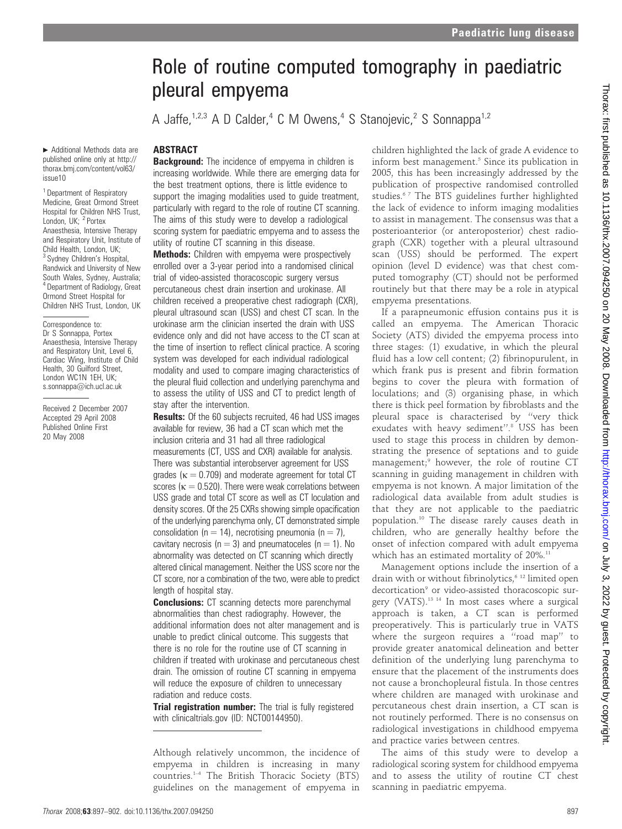# Thorax: first published as 10.1136/thx.2007.094250 on 20 May 2008. Downloaded from http://thorax.brnj.com/ on July 3, 2022 by guest. Protected by copyrigh on July 3, 2022 by guest. Protected by copyright. <http://thorax.bmj.com/> Thorax: first published as 10.1136/thx.2007.094250 on 20 May 2008. Downloaded from

# Role of routine computed tomography in paediatric pleural empyema

A Jaffe,<sup>1,2,3</sup> A D Calder,<sup>4</sup> C M Owens,<sup>4</sup> S Stanojevic,<sup>2</sup> S Sonnappa<sup>1,2</sup>

## ABSTRACT

**Background:** The incidence of empyema in children is increasing worldwide. While there are emerging data for the best treatment options, there is little evidence to support the imaging modalities used to quide treatment. particularly with regard to the role of routine CT scanning. The aims of this study were to develop a radiological scoring system for paediatric empyema and to assess the utility of routine CT scanning in this disease.

**Methods:** Children with empyema were prospectively enrolled over a 3-year period into a randomised clinical trial of video-assisted thoracoscopic surgery versus percutaneous chest drain insertion and urokinase. All children received a preoperative chest radiograph (CXR), pleural ultrasound scan (USS) and chest CT scan. In the urokinase arm the clinician inserted the drain with USS evidence only and did not have access to the CT scan at the time of insertion to reflect clinical practice. A scoring system was developed for each individual radiological modality and used to compare imaging characteristics of the pleural fluid collection and underlying parenchyma and to assess the utility of USS and CT to predict length of stay after the intervention.

**Results:** Of the 60 subjects recruited, 46 had USS images available for review, 36 had a CT scan which met the inclusion criteria and 31 had all three radiological measurements (CT, USS and CXR) available for analysis. There was substantial interobserver agreement for USS grades ( $\kappa = 0.709$ ) and moderate agreement for total CT scores ( $\kappa = 0.520$ ). There were weak correlations between USS grade and total CT score as well as CT loculation and density scores. Of the 25 CXRs showing simple opacification of the underlying parenchyma only, CT demonstrated simple consolidation ( $n = 14$ ), necrotising pneumonia ( $n = 7$ ), cavitary necrosis ( $n = 3$ ) and pneumatoceles ( $n = 1$ ). No abnormality was detected on CT scanning which directly altered clinical management. Neither the USS score nor the CT score, nor a combination of the two, were able to predict length of hospital stay.

**Conclusions:** CT scanning detects more parenchymal abnormalities than chest radiography. However, the additional information does not alter management and is unable to predict clinical outcome. This suggests that there is no role for the routine use of CT scanning in children if treated with urokinase and percutaneous chest drain. The omission of routine CT scanning in empyema will reduce the exposure of children to unnecessary radiation and reduce costs.

Trial registration number: The trial is fully registered with clinicaltrials.gov (ID: NCT00144950).

Although relatively uncommon, the incidence of empyema in children is increasing in many countries.1–4 The British Thoracic Society (BTS) guidelines on the management of empyema in children highlighted the lack of grade A evidence to inform best management.<sup>5</sup> Since its publication in 2005, this has been increasingly addressed by the publication of prospective randomised controlled studies.<sup>67</sup> The BTS guidelines further highlighted the lack of evidence to inform imaging modalities to assist in management. The consensus was that a posterioanterior (or anteroposterior) chest radiograph (CXR) together with a pleural ultrasound scan (USS) should be performed. The expert opinion (level D evidence) was that chest computed tomography (CT) should not be performed routinely but that there may be a role in atypical empyema presentations.

If a parapneumonic effusion contains pus it is called an empyema. The American Thoracic Society (ATS) divided the empyema process into three stages: (1) exudative, in which the pleural fluid has a low cell content; (2) fibrinopurulent, in which frank pus is present and fibrin formation begins to cover the pleura with formation of loculations; and (3) organising phase, in which there is thick peel formation by fibroblasts and the pleural space is characterised by ''very thick exudates with heavy sediment".<sup>8</sup> USS has been used to stage this process in children by demonstrating the presence of septations and to guide management;<sup>9</sup> however, the role of routine CT scanning in guiding management in children with empyema is not known. A major limitation of the radiological data available from adult studies is that they are not applicable to the paediatric population.10 The disease rarely causes death in children, who are generally healthy before the onset of infection compared with adult empyema which has an estimated mortality of 20%.<sup>11</sup>

Management options include the insertion of a drain with or without fibrinolytics,<sup>6 12</sup> limited open decortication<sup>9</sup> or video-assisted thoracoscopic surgery (VATS).13 14 In most cases where a surgical approach is taken, a CT scan is performed preoperatively. This is particularly true in VATS where the surgeon requires a "road map" to provide greater anatomical delineation and better definition of the underlying lung parenchyma to ensure that the placement of the instruments does not cause a bronchopleural fistula. In those centres where children are managed with urokinase and percutaneous chest drain insertion, a CT scan is not routinely performed. There is no consensus on radiological investigations in childhood empyema and practice varies between centres.

The aims of this study were to develop a radiological scoring system for childhood empyema and to assess the utility of routine CT chest scanning in paediatric empyema.

### Additional Methods data are published online only at http:// thorax.bmj.com/content/vol63/ issue10

<sup>1</sup> Department of Respiratory Medicine, Great Ormond Street Hospital for Children NHS Trust, London, UK; <sup>2</sup> Portex Anaesthesia, Intensive Therapy and Respiratory Unit, Institute of Child Health, London, UK; <sup>3</sup> Sydney Children's Hospital, Randwick and University of New South Wales, Sydney, Australia; <sup>4</sup> Department of Radiology, Great Ormond Street Hospital for Children NHS Trust, London, UK

Received 2 December 2007 Accepted 29 April 2008 Published Online First 20 May 2008

Correspondence to: Dr S Sonnappa, Portex Anaesthesia, Intensive Therapy and Respiratory Unit, Level 6, Cardiac Wing, Institute of Child Health, 30 Guilford Street, London WC1N 1EH, UK; s.sonnappa@ich.ucl.ac.uk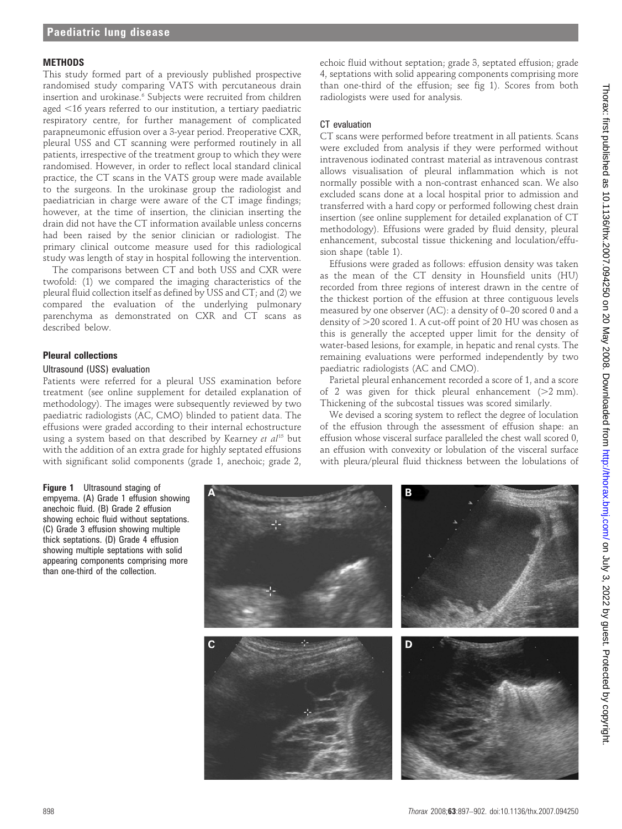### **MFTHODS**

This study formed part of a previously published prospective randomised study comparing VATS with percutaneous drain insertion and urokinase.<sup>6</sup> Subjects were recruited from children aged  $<$ 16 years referred to our institution, a tertiary paediatric respiratory centre, for further management of complicated parapneumonic effusion over a 3-year period. Preoperative CXR, pleural USS and CT scanning were performed routinely in all patients, irrespective of the treatment group to which they were randomised. However, in order to reflect local standard clinical practice, the CT scans in the VATS group were made available to the surgeons. In the urokinase group the radiologist and paediatrician in charge were aware of the CT image findings; however, at the time of insertion, the clinician inserting the drain did not have the CT information available unless concerns had been raised by the senior clinician or radiologist. The primary clinical outcome measure used for this radiological study was length of stay in hospital following the intervention.

The comparisons between CT and both USS and CXR were twofold: (1) we compared the imaging characteristics of the pleural fluid collection itself as defined by USS and CT; and (2) we compared the evaluation of the underlying pulmonary parenchyma as demonstrated on CXR and CT scans as described below.

### Pleural collections

### Ultrasound (USS) evaluation

Patients were referred for a pleural USS examination before treatment (see online supplement for detailed explanation of methodology). The images were subsequently reviewed by two paediatric radiologists (AC, CMO) blinded to patient data. The effusions were graded according to their internal echostructure using a system based on that described by Kearney et  $al^{15}$  but with the addition of an extra grade for highly septated effusions with significant solid components (grade 1, anechoic; grade 2,

echoic fluid without septation; grade 3, septated effusion; grade 4, septations with solid appearing components comprising more than one-third of the effusion; see fig 1). Scores from both radiologists were used for analysis.

### CT evaluation

CT scans were performed before treatment in all patients. Scans were excluded from analysis if they were performed without intravenous iodinated contrast material as intravenous contrast allows visualisation of pleural inflammation which is not normally possible with a non-contrast enhanced scan. We also excluded scans done at a local hospital prior to admission and transferred with a hard copy or performed following chest drain insertion (see online supplement for detailed explanation of CT methodology). Effusions were graded by fluid density, pleural enhancement, subcostal tissue thickening and loculation/effusion shape (table 1).

Effusions were graded as follows: effusion density was taken as the mean of the CT density in Hounsfield units (HU) recorded from three regions of interest drawn in the centre of the thickest portion of the effusion at three contiguous levels measured by one observer (AC): a density of 0–20 scored 0 and a density of  $>$ 20 scored 1. A cut-off point of 20 HU was chosen as this is generally the accepted upper limit for the density of water-based lesions, for example, in hepatic and renal cysts. The remaining evaluations were performed independently by two paediatric radiologists (AC and CMO).

Parietal pleural enhancement recorded a score of 1, and a score of 2 was given for thick pleural enhancement  $(>2$  mm). Thickening of the subcostal tissues was scored similarly.

We devised a scoring system to reflect the degree of loculation of the effusion through the assessment of effusion shape: an effusion whose visceral surface paralleled the chest wall scored 0, an effusion with convexity or lobulation of the visceral surface with pleura/pleural fluid thickness between the lobulations of

Figure 1 Ultrasound staging of empyema. (A) Grade 1 effusion showing anechoic fluid. (B) Grade 2 effusion showing echoic fluid without septations. (C) Grade 3 effusion showing multiple thick septations. (D) Grade 4 effusion showing multiple septations with solid appearing components comprising more than one-third of the collection.

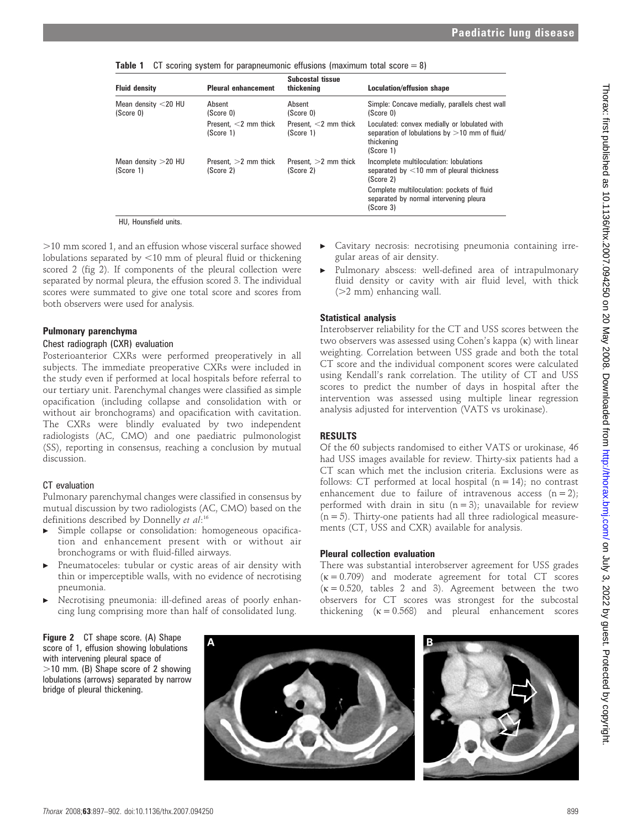**Table 1** CT scoring system for parapneumonic effusions (maximum total score  $= 8$ )

| <b>Fluid density</b>                | <b>Pleural enhancement</b>           | Subcostal tissue<br>thickening       | <b>Loculation/effusion shape</b>                                                                                           |
|-------------------------------------|--------------------------------------|--------------------------------------|----------------------------------------------------------------------------------------------------------------------------|
| Mean density $<$ 20 HU<br>(Score 0) | Absent<br>(Score 0)                  | Absent<br>(Score 0)                  | Simple: Concave medially, parallels chest wall<br>(Score 0)                                                                |
|                                     | Present. $<$ 2 mm thick<br>(Score 1) | Present. $<$ 2 mm thick<br>(Score 1) | Loculated: convex medially or lobulated with<br>separation of lobulations by $>10$ mm of fluid/<br>thickening<br>(Score 1) |
| Mean density $>$ 20 HU<br>(Score 1) | Present. $>2$ mm thick<br>(Score 2)  | Present. $>2$ mm thick<br>(Score 2)  | Incomplete multiloculation: lobulations<br>separated by $<$ 10 mm of pleural thickness<br>(Score 2)                        |
|                                     |                                      |                                      | Complete multiloculation: pockets of fluid<br>separated by normal intervening pleura<br>(Score 3)                          |

HU, Hounsfield units.

.10 mm scored 1, and an effusion whose visceral surface showed lobulations separated by  $<$ 10 mm of pleural fluid or thickening scored 2 (fig 2). If components of the pleural collection were separated by normal pleura, the effusion scored 3. The individual scores were summated to give one total score and scores from both observers were used for analysis.

### Pulmonary parenchyma

### Chest radiograph (CXR) evaluation

Posterioanterior CXRs were performed preoperatively in all subjects. The immediate preoperative CXRs were included in the study even if performed at local hospitals before referral to our tertiary unit. Parenchymal changes were classified as simple opacification (including collapse and consolidation with or without air bronchograms) and opacification with cavitation. The CXRs were blindly evaluated by two independent radiologists (AC, CMO) and one paediatric pulmonologist (SS), reporting in consensus, reaching a conclusion by mutual discussion.

# CT evaluation

Pulmonary parenchymal changes were classified in consensus by mutual discussion by two radiologists (AC, CMO) based on the definitions described by Donnelly et al:<sup>16</sup>

- Simple collapse or consolidation: homogeneous opacification and enhancement present with or without air bronchograms or with fluid-filled airways.
- Pneumatoceles: tubular or cystic areas of air density with thin or imperceptible walls, with no evidence of necrotising pneumonia.
- Necrotising pneumonia: ill-defined areas of poorly enhancing lung comprising more than half of consolidated lung.
- Cavitary necrosis: necrotising pneumonia containing irregular areas of air density.
- Pulmonary abscess: well-defined area of intrapulmonary fluid density or cavity with air fluid level, with thick  $(>2$  mm) enhancing wall.

# Statistical analysis

Interobserver reliability for the CT and USS scores between the two observers was assessed using Cohen's kappa (k) with linear weighting. Correlation between USS grade and both the total CT score and the individual component scores were calculated using Kendall's rank correlation. The utility of CT and USS scores to predict the number of days in hospital after the intervention was assessed using multiple linear regression analysis adjusted for intervention (VATS vs urokinase).

# RESULTS

Of the 60 subjects randomised to either VATS or urokinase, 46 had USS images available for review. Thirty-six patients had a CT scan which met the inclusion criteria. Exclusions were as follows: CT performed at local hospital  $(n = 14)$ ; no contrast enhancement due to failure of intravenous access  $(n = 2)$ ; performed with drain in situ  $(n = 3)$ ; unavailable for review  $(n = 5)$ . Thirty-one patients had all three radiological measurements (CT, USS and CXR) available for analysis.

### Pleural collection evaluation

There was substantial interobserver agreement for USS grades  $(\kappa = 0.709)$  and moderate agreement for total CT scores  $(\kappa = 0.520,$  tables 2 and 3). Agreement between the two observers for CT scores was strongest for the subcostal thickening  $(\kappa = 0.568)$  and pleural enhancement scores



bridge of pleural thickening.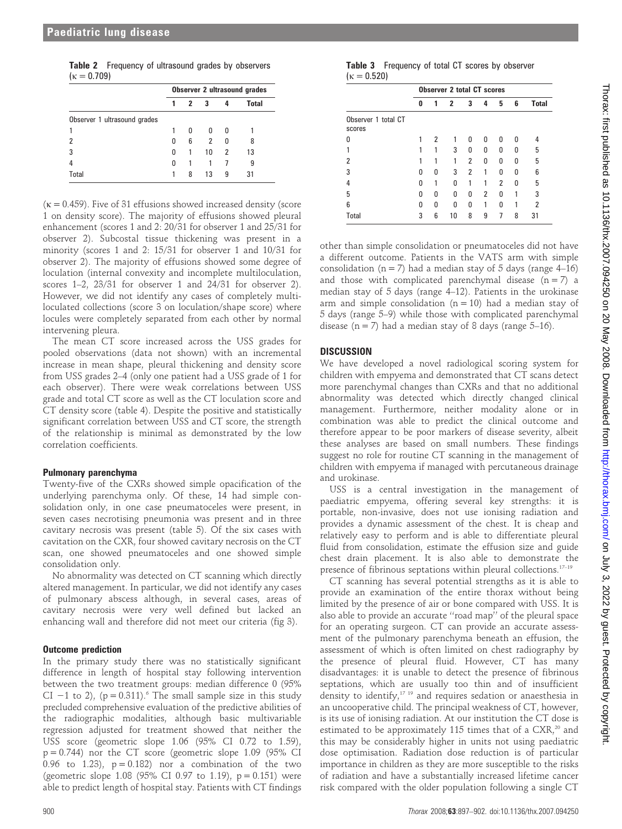|                 | <b>Table 2</b> Frequency of ultrasound grades by observers |
|-----------------|------------------------------------------------------------|
| $kappa = 0.709$ |                                                            |

|                              | <b>Observer 2 ultrasound grades</b> |                |                |   |       |
|------------------------------|-------------------------------------|----------------|----------------|---|-------|
|                              |                                     | $\overline{2}$ | - 3            | 4 | Total |
| Observer 1 ultrasound grades |                                     |                |                |   |       |
|                              |                                     | n              | 0              | ŋ |       |
|                              | O                                   | 6              | $\overline{2}$ | 0 | 8     |
|                              | 0                                   | $\overline{1}$ | 10             | 2 | 13    |
|                              | O                                   | 1              |                |   |       |
| Total                        |                                     | 8              | 13             | 9 | 31    |

 $(k = 0.459)$ . Five of 31 effusions showed increased density (score 1 on density score). The majority of effusions showed pleural enhancement (scores 1 and 2: 20/31 for observer 1 and 25/31 for observer 2). Subcostal tissue thickening was present in a minority (scores 1 and 2: 15/31 for observer 1 and 10/31 for observer 2). The majority of effusions showed some degree of loculation (internal convexity and incomplete multiloculation, scores 1–2, 23/31 for observer 1 and 24/31 for observer 2). However, we did not identify any cases of completely multiloculated collections (score 3 on loculation/shape score) where locules were completely separated from each other by normal intervening pleura.

The mean CT score increased across the USS grades for pooled observations (data not shown) with an incremental increase in mean shape, pleural thickening and density score from USS grades 2–4 (only one patient had a USS grade of 1 for each observer). There were weak correlations between USS grade and total CT score as well as the CT loculation score and CT density score (table 4). Despite the positive and statistically significant correlation between USS and CT score, the strength of the relationship is minimal as demonstrated by the low correlation coefficients.

# Pulmonary parenchyma

Twenty-five of the CXRs showed simple opacification of the underlying parenchyma only. Of these, 14 had simple consolidation only, in one case pneumatoceles were present, in seven cases necrotising pneumonia was present and in three cavitary necrosis was present (table 5). Of the six cases with cavitation on the CXR, four showed cavitary necrosis on the CT scan, one showed pneumatoceles and one showed simple consolidation only.

No abnormality was detected on CT scanning which directly altered management. In particular, we did not identify any cases of pulmonary abscess although, in several cases, areas of cavitary necrosis were very well defined but lacked an enhancing wall and therefore did not meet our criteria (fig 3).

# Outcome prediction

In the primary study there was no statistically significant difference in length of hospital stay following intervention between the two treatment groups: median difference 0 (95% CI -1 to 2), ( $p = 0.311$ ).<sup>6</sup> The small sample size in this study precluded comprehensive evaluation of the predictive abilities of the radiographic modalities, although basic multivariable regression adjusted for treatment showed that neither the USS score (geometric slope 1.06 (95% CI 0.72 to 1.59),  $p = 0.744$ ) nor the CT score (geometric slope 1.09 (95% CI 0.96 to 1.23),  $p = 0.182$  nor a combination of the two (geometric slope 1.08 (95% CI 0.97 to 1.19),  $p = 0.151$ ) were able to predict length of hospital stay. Patients with CT findings

|                 | <b>Table 3</b> Frequency of total CT scores by observer |  |  |  |
|-----------------|---------------------------------------------------------|--|--|--|
| $kappa = 0.520$ |                                                         |  |  |  |

|                               |              | <b>Observer 2 total CT scores</b> |    |              |              |              |   |              |
|-------------------------------|--------------|-----------------------------------|----|--------------|--------------|--------------|---|--------------|
|                               | 0            | 1                                 | 2  | 3            | 4            | 5            | 6 | <b>Total</b> |
| Observer 1 total CT<br>scores |              |                                   |    |              |              |              |   |              |
| N                             |              | 2                                 | 1  | 0            | <sub>0</sub> | <sub>0</sub> | n | 4            |
|                               |              |                                   | 3  | <sub>0</sub> | U            | n            | n | 5            |
| າ                             |              |                                   | 1  | 2            | U            | U            | N | 5            |
| 3                             | ŋ            | 0                                 | 3  | 2            | 1            | U            | N | 6            |
|                               | <sup>0</sup> |                                   | U  |              |              | 2            | U | 5            |
| 5                             | N            | ŋ                                 | n  | n            | 2            | U            |   | 3            |
| 6                             | n            | ŋ                                 | n  | n            |              | U            |   | 2            |
| Total                         | 3            | 6                                 | 10 | 8            | 9            | 7            | 8 | 31           |

other than simple consolidation or pneumatoceles did not have a different outcome. Patients in the VATS arm with simple consolidation ( $n = 7$ ) had a median stay of 5 days (range 4–16) and those with complicated parenchymal disease  $(n = 7)$  a median stay of 5 days (range 4–12). Patients in the urokinase arm and simple consolidation ( $n = 10$ ) had a median stay of 5 days (range 5–9) while those with complicated parenchymal disease ( $n = 7$ ) had a median stay of 8 days (range 5–16).

# **DISCUSSION**

We have developed a novel radiological scoring system for children with empyema and demonstrated that CT scans detect more parenchymal changes than CXRs and that no additional abnormality was detected which directly changed clinical management. Furthermore, neither modality alone or in combination was able to predict the clinical outcome and therefore appear to be poor markers of disease severity, albeit these analyses are based on small numbers. These findings suggest no role for routine CT scanning in the management of children with empyema if managed with percutaneous drainage and urokinase.

USS is a central investigation in the management of paediatric empyema, offering several key strengths: it is portable, non-invasive, does not use ionising radiation and provides a dynamic assessment of the chest. It is cheap and relatively easy to perform and is able to differentiate pleural fluid from consolidation, estimate the effusion size and guide chest drain placement. It is also able to demonstrate the presence of fibrinous septations within pleural collections.17–19

CT scanning has several potential strengths as it is able to provide an examination of the entire thorax without being limited by the presence of air or bone compared with USS. It is also able to provide an accurate ''road map'' of the pleural space for an operating surgeon. CT can provide an accurate assessment of the pulmonary parenchyma beneath an effusion, the assessment of which is often limited on chest radiography by the presence of pleural fluid. However, CT has many disadvantages: it is unable to detect the presence of fibrinous septations, which are usually too thin and of insufficient density to identify,<sup>17-19</sup> and requires sedation or anaesthesia in an uncooperative child. The principal weakness of CT, however, is its use of ionising radiation. At our institution the CT dose is estimated to be approximately 115 times that of a  $CXR$ ,<sup>20</sup> and this may be considerably higher in units not using paediatric dose optimisation. Radiation dose reduction is of particular importance in children as they are more susceptible to the risks of radiation and have a substantially increased lifetime cancer risk compared with the older population following a single CT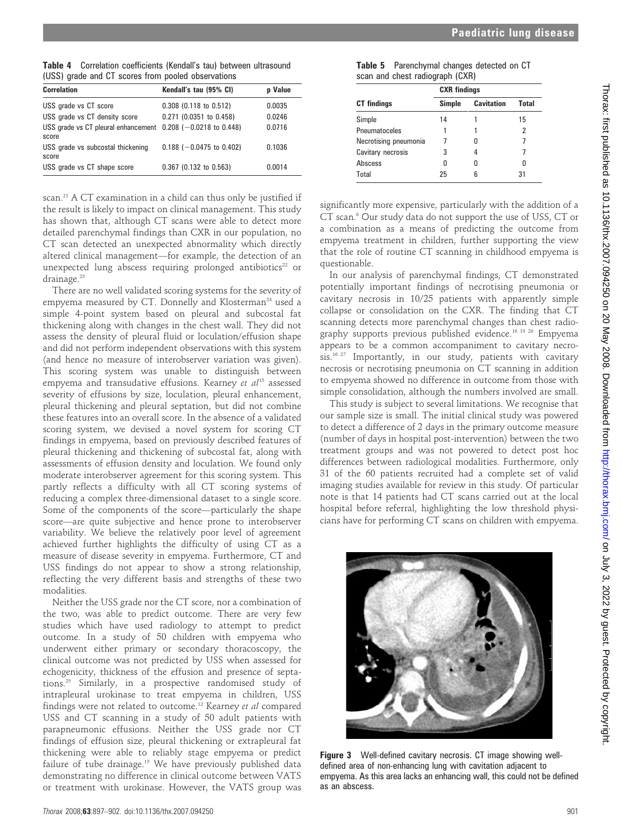Table 4 Correlation coefficients (Kendall's tau) between ultrasound (USS) grade and CT scores from pooled observations

| <b>Correlation</b>                                                         | Kendall's tau (95% CI)     | p Value |
|----------------------------------------------------------------------------|----------------------------|---------|
| USS grade vs CT score                                                      | $0.308$ (0.118 to 0.512)   | 0.0035  |
| USS grade vs CT density score                                              | 0.271 (0.0351 to 0.458)    | 0.0246  |
| USS grade vs CT pleural enhancement $0.208$ ( $-0.0218$ to 0.448)<br>score |                            | 0.0716  |
| USS grade vs subcostal thickening<br>score                                 | $0.188$ (-0.0475 to 0.402) | 0.1036  |
| USS grade vs CT shape score                                                | 0.367 (0.132 to 0.563)     | 0.0014  |

scan.<sup>21</sup> A CT examination in a child can thus only be justified if the result is likely to impact on clinical management. This study has shown that, although CT scans were able to detect more detailed parenchymal findings than CXR in our population, no CT scan detected an unexpected abnormality which directly altered clinical management—for example, the detection of an unexpected lung abscess requiring prolonged antibiotics $22$  or drainage.<sup>23</sup>

There are no well validated scoring systems for the severity of empyema measured by CT. Donnelly and Klosterman<sup>24</sup> used a simple 4-point system based on pleural and subcostal fat thickening along with changes in the chest wall. They did not assess the density of pleural fluid or loculation/effusion shape and did not perform independent observations with this system (and hence no measure of interobserver variation was given). This scoring system was unable to distinguish between empyema and transudative effusions. Kearney et  $al^{15}$  assessed severity of effusions by size, loculation, pleural enhancement, pleural thickening and pleural septation, but did not combine these features into an overall score. In the absence of a validated scoring system, we devised a novel system for scoring CT findings in empyema, based on previously described features of pleural thickening and thickening of subcostal fat, along with assessments of effusion density and loculation. We found only moderate interobserver agreement for this scoring system. This partly reflects a difficulty with all CT scoring systems of reducing a complex three-dimensional dataset to a single score. Some of the components of the score—particularly the shape score—are quite subjective and hence prone to interobserver variability. We believe the relatively poor level of agreement achieved further highlights the difficulty of using CT as a measure of disease severity in empyema. Furthermore, CT and USS findings do not appear to show a strong relationship, reflecting the very different basis and strengths of these two modalities.

Neither the USS grade nor the CT score, nor a combination of the two, was able to predict outcome. There are very few studies which have used radiology to attempt to predict outcome. In a study of 50 children with empyema who underwent either primary or secondary thoracoscopy, the clinical outcome was not predicted by USS when assessed for echogenicity, thickness of the effusion and presence of septations.25 Similarly, in a prospective randomised study of intrapleural urokinase to treat empyema in children, USS findings were not related to outcome.<sup>12</sup> Kearney et al compared USS and CT scanning in a study of 50 adult patients with parapneumonic effusions. Neither the USS grade nor CT findings of effusion size, pleural thickening or extrapleural fat thickening were able to reliably stage empyema or predict failure of tube drainage.15 We have previously published data demonstrating no difference in clinical outcome between VATS or treatment with urokinase. However, the VATS group was

| Table 5 Parenchymal changes detected on CT |  |  |
|--------------------------------------------|--|--|
| scan and chest radiograph (CXR)            |  |  |

|                       | <b>CXR</b> findings |                   |       |  |  |  |
|-----------------------|---------------------|-------------------|-------|--|--|--|
| <b>CT</b> findings    | <b>Simple</b>       | <b>Cavitation</b> | Total |  |  |  |
| Simple                | 14                  |                   | 15    |  |  |  |
| Pneumatoceles         | 1                   |                   | 2     |  |  |  |
| Necrotising pneumonia |                     |                   |       |  |  |  |
| Cavitary necrosis     | 3                   |                   |       |  |  |  |
| Abscess               | n                   |                   |       |  |  |  |
| Total                 | 25                  | ĥ                 | 31    |  |  |  |

significantly more expensive, particularly with the addition of a CT scan.<sup>6</sup> Our study data do not support the use of USS, CT or a combination as a means of predicting the outcome from empyema treatment in children, further supporting the view that the role of routine CT scanning in childhood empyema is questionable.

In our analysis of parenchymal findings, CT demonstrated potentially important findings of necrotising pneumonia or cavitary necrosis in 10/25 patients with apparently simple collapse or consolidation on the CXR. The finding that CT scanning detects more parenchymal changes than chest radiography supports previous published evidence.16 19 26 Empyema appears to be a common accompaniment to cavitary necrosis.<sup>16 27</sup> Importantly, in our study, patients with cavitary necrosis or necrotising pneumonia on CT scanning in addition to empyema showed no difference in outcome from those with simple consolidation, although the numbers involved are small.

This study is subject to several limitations. We recognise that our sample size is small. The initial clinical study was powered to detect a difference of 2 days in the primary outcome measure (number of days in hospital post-intervention) between the two treatment groups and was not powered to detect post hoc differences between radiological modalities. Furthermore, only 31 of the 60 patients recruited had a complete set of valid imaging studies available for review in this study. Of particular note is that 14 patients had CT scans carried out at the local hospital before referral, highlighting the low threshold physicians have for performing CT scans on children with empyema.

**Figure 3** Well-defined cavitary necrosis. CT image showing welldefined area of non-enhancing lung with cavitation adjacent to empyema. As this area lacks an enhancing wall, this could not be defined as an abscess.